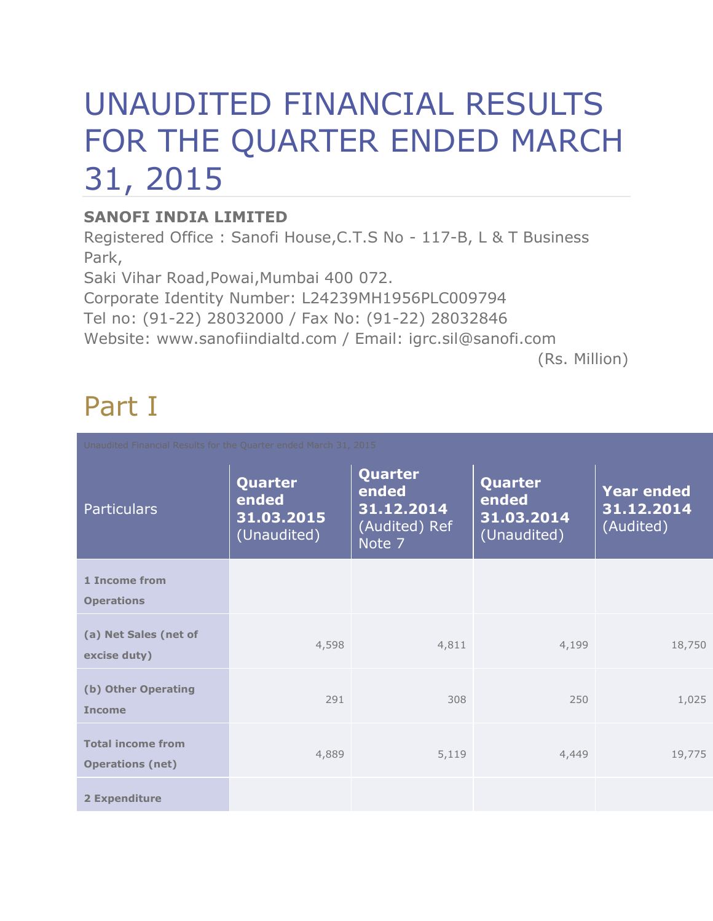# UNAUDITED FINANCIAL RESULTS FOR THE QUARTER ENDED MARCH 31, 2015

### **SANOFI INDIA LIMITED**

Registered Office : Sanofi House,C.T.S No - 117-B, L & T Business Park,

Saki Vihar Road,Powai,Mumbai 400 072.

Corporate Identity Number: L24239MH1956PLC009794

Tel no: (91-22) 28032000 / Fax No: (91-22) 28032846

Website: www.sanofiindialtd.com / Email: igrc.sil@sanofi.com

(Rs. Million)

## Part I

| Unaudited Financial Results for the Quarter ended March 31, 2015 |                                               |                                                           |                                               |                                              |  |  |  |
|------------------------------------------------------------------|-----------------------------------------------|-----------------------------------------------------------|-----------------------------------------------|----------------------------------------------|--|--|--|
| <b>Particulars</b>                                               | Quarter<br>ended<br>31.03.2015<br>(Unaudited) | Quarter<br>ended<br>31.12.2014<br>(Audited) Ref<br>Note 7 | Quarter<br>ended<br>31.03.2014<br>(Unaudited) | <b>Year ended</b><br>31.12.2014<br>(Audited) |  |  |  |
| 1 Income from<br><b>Operations</b>                               |                                               |                                                           |                                               |                                              |  |  |  |
| (a) Net Sales (net of<br>excise duty)                            | 4,598                                         | 4,811                                                     | 4,199                                         | 18,750                                       |  |  |  |
| (b) Other Operating<br><b>Income</b>                             | 291                                           | 308                                                       | 250                                           | 1,025                                        |  |  |  |
| <b>Total income from</b><br><b>Operations (net)</b>              | 4,889                                         | 5,119                                                     | 4,449                                         | 19,775                                       |  |  |  |
| 2 Expenditure                                                    |                                               |                                                           |                                               |                                              |  |  |  |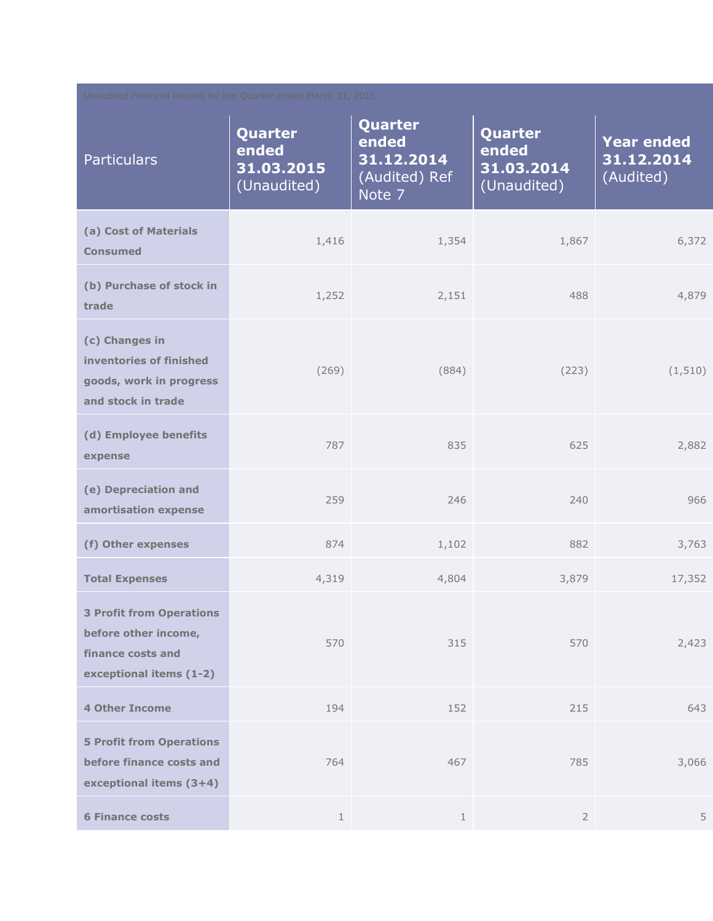| Unaudited Financial Results for the Quarter ended March 31, 2015                                        |                                               |                                                           |                                               |                                              |  |  |  |
|---------------------------------------------------------------------------------------------------------|-----------------------------------------------|-----------------------------------------------------------|-----------------------------------------------|----------------------------------------------|--|--|--|
| <b>Particulars</b>                                                                                      | Quarter<br>ended<br>31.03.2015<br>(Unaudited) | Quarter<br>ended<br>31.12.2014<br>(Audited) Ref<br>Note 7 | Quarter<br>ended<br>31.03.2014<br>(Unaudited) | <b>Year ended</b><br>31.12.2014<br>(Audited) |  |  |  |
| (a) Cost of Materials<br><b>Consumed</b>                                                                | 1,416                                         | 1,354                                                     | 1,867                                         | 6,372                                        |  |  |  |
| (b) Purchase of stock in<br>trade                                                                       | 1,252                                         | 2,151                                                     | 488                                           | 4,879                                        |  |  |  |
| (c) Changes in<br>inventories of finished<br>goods, work in progress<br>and stock in trade              | (269)                                         | (884)                                                     | (223)                                         | (1, 510)                                     |  |  |  |
| (d) Employee benefits<br>expense                                                                        | 787                                           | 835                                                       | 625                                           | 2,882                                        |  |  |  |
| (e) Depreciation and<br>amortisation expense                                                            | 259                                           | 246                                                       | 240                                           | 966                                          |  |  |  |
| (f) Other expenses                                                                                      | 874                                           | 1,102                                                     | 882                                           | 3,763                                        |  |  |  |
| <b>Total Expenses</b>                                                                                   | 4,319                                         | 4,804                                                     | 3,879                                         | 17,352                                       |  |  |  |
| <b>3 Profit from Operations</b><br>before other income,<br>finance costs and<br>exceptional items (1-2) | 570                                           | 315                                                       | 570                                           | 2,423                                        |  |  |  |
| <b>4 Other Income</b>                                                                                   | 194                                           | 152                                                       | 215                                           | 643                                          |  |  |  |
| <b>5 Profit from Operations</b><br>before finance costs and<br>exceptional items (3+4)                  | 764                                           | 467                                                       | 785                                           | 3,066                                        |  |  |  |
| <b>6 Finance costs</b>                                                                                  | $\mathbf{1}$                                  | $\mathbf{1}$                                              | $\overline{2}$                                | 5                                            |  |  |  |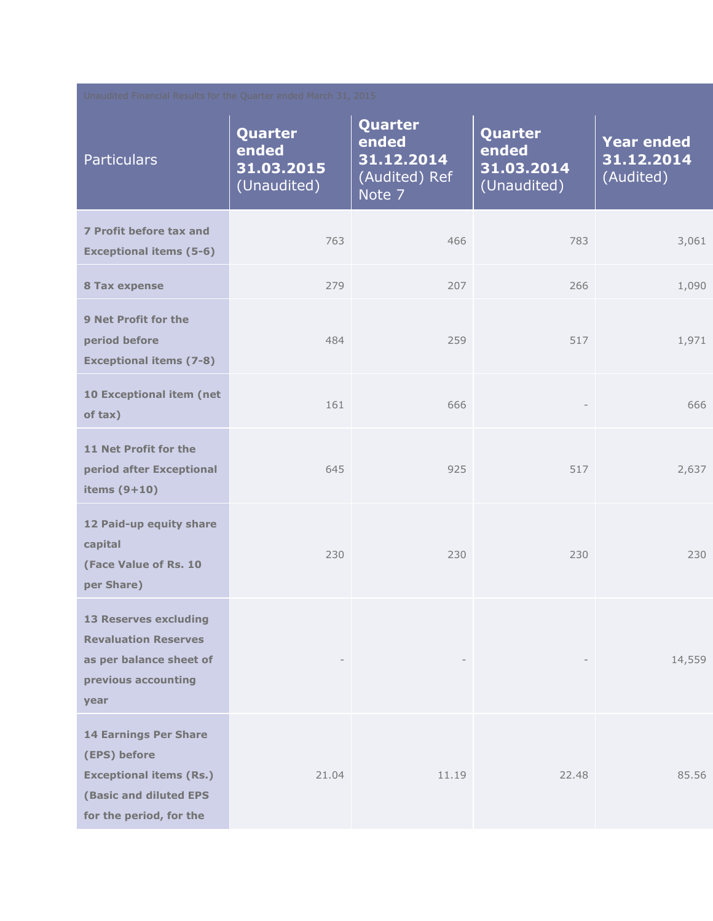| Unaudited Financial Results for the Quarter ended March 31, 2015                                                                           |                                               |                                                           |                                               |                                              |  |  |  |
|--------------------------------------------------------------------------------------------------------------------------------------------|-----------------------------------------------|-----------------------------------------------------------|-----------------------------------------------|----------------------------------------------|--|--|--|
| <b>Particulars</b>                                                                                                                         | Quarter<br>ended<br>31.03.2015<br>(Unaudited) | Quarter<br>ended<br>31.12.2014<br>(Audited) Ref<br>Note 7 | Quarter<br>ended<br>31.03.2014<br>(Unaudited) | <b>Year ended</b><br>31.12.2014<br>(Audited) |  |  |  |
| 7 Profit before tax and<br><b>Exceptional items (5-6)</b>                                                                                  | 763                                           | 466                                                       | 783                                           | 3,061                                        |  |  |  |
| <b>8 Tax expense</b>                                                                                                                       | 279                                           | 207                                                       | 266                                           | 1,090                                        |  |  |  |
| <b>9 Net Profit for the</b><br>period before<br><b>Exceptional items (7-8)</b>                                                             | 484                                           | 259                                                       | 517                                           | 1,971                                        |  |  |  |
| 10 Exceptional item (net<br>of tax)                                                                                                        | 161                                           | 666                                                       | $\hspace{1.0cm} - \hspace{1.0cm}$             | 666                                          |  |  |  |
| 11 Net Profit for the<br>period after Exceptional<br>items $(9+10)$                                                                        | 645                                           | 925                                                       | 517                                           | 2,637                                        |  |  |  |
| 12 Paid-up equity share<br>capital<br>(Face Value of Rs. 10<br>per Share)                                                                  | 230                                           | 230                                                       | 230                                           | 230                                          |  |  |  |
| <b>13 Reserves excluding</b><br><b>Revaluation Reserves</b><br>as per balance sheet of<br>previous accounting<br>year                      |                                               |                                                           |                                               | 14,559                                       |  |  |  |
| <b>14 Earnings Per Share</b><br>(EPS) before<br><b>Exceptional items (Rs.)</b><br><b>(Basic and diluted EPS</b><br>for the period, for the | 21.04                                         | 11.19                                                     | 22.48                                         | 85.56                                        |  |  |  |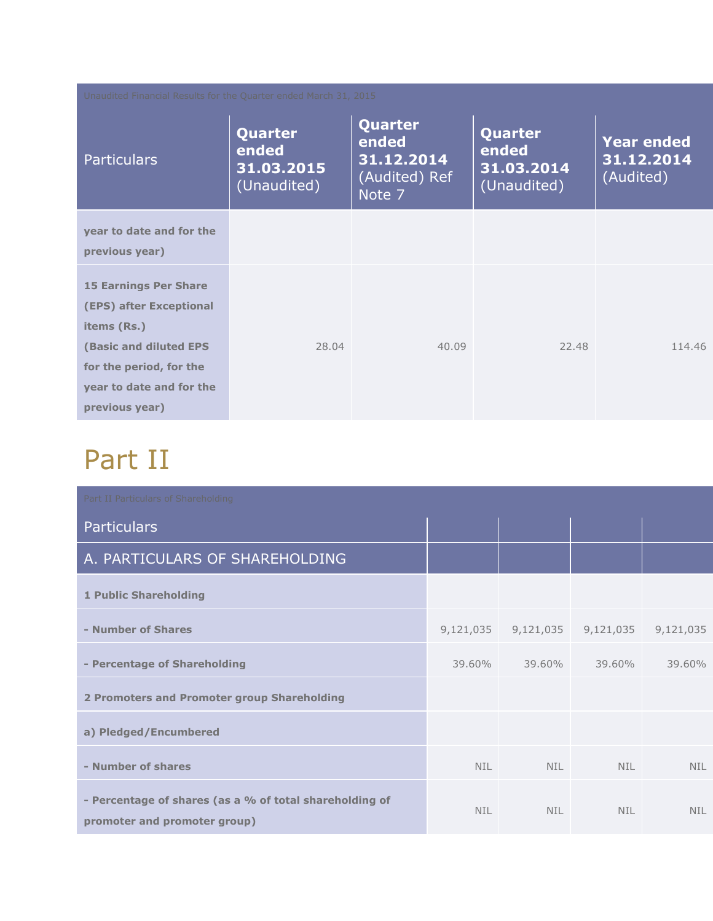| Unaudited Financial Results for the Quarter ended March 31, 2015                                                                                                          |                                               |                                                           |                                               |                                              |  |  |  |
|---------------------------------------------------------------------------------------------------------------------------------------------------------------------------|-----------------------------------------------|-----------------------------------------------------------|-----------------------------------------------|----------------------------------------------|--|--|--|
| <b>Particulars</b>                                                                                                                                                        | Quarter<br>ended<br>31.03.2015<br>(Unaudited) | Quarter<br>ended<br>31.12.2014<br>(Audited) Ref<br>Note 7 | Quarter<br>ended<br>31.03.2014<br>(Unaudited) | <b>Year ended</b><br>31.12.2014<br>(Audited) |  |  |  |
| year to date and for the<br>previous year)                                                                                                                                |                                               |                                                           |                                               |                                              |  |  |  |
| <b>15 Earnings Per Share</b><br>(EPS) after Exceptional<br>items (Rs.)<br>(Basic and diluted EPS<br>for the period, for the<br>year to date and for the<br>previous year) | 28.04                                         | 40.09                                                     | 22.48                                         | 114.46                                       |  |  |  |

## Part II

| Part II Particulars of Shareholding                                                     |           |            |            |            |  |
|-----------------------------------------------------------------------------------------|-----------|------------|------------|------------|--|
| <b>Particulars</b>                                                                      |           |            |            |            |  |
| A. PARTICULARS OF SHAREHOLDING                                                          |           |            |            |            |  |
| <b>1 Public Shareholding</b>                                                            |           |            |            |            |  |
| - Number of Shares                                                                      | 9,121,035 | 9,121,035  | 9,121,035  | 9,121,035  |  |
| - Percentage of Shareholding                                                            | 39.60%    | 39.60%     | 39.60%     | 39.60%     |  |
| 2 Promoters and Promoter group Shareholding                                             |           |            |            |            |  |
| a) Pledged/Encumbered                                                                   |           |            |            |            |  |
| - Number of shares                                                                      | NIL.      | <b>NIL</b> | <b>NIL</b> | <b>NIL</b> |  |
| - Percentage of shares (as a % of total shareholding of<br>promoter and promoter group) | NIL.      | <b>NTI</b> | NTI.       | <b>NIL</b> |  |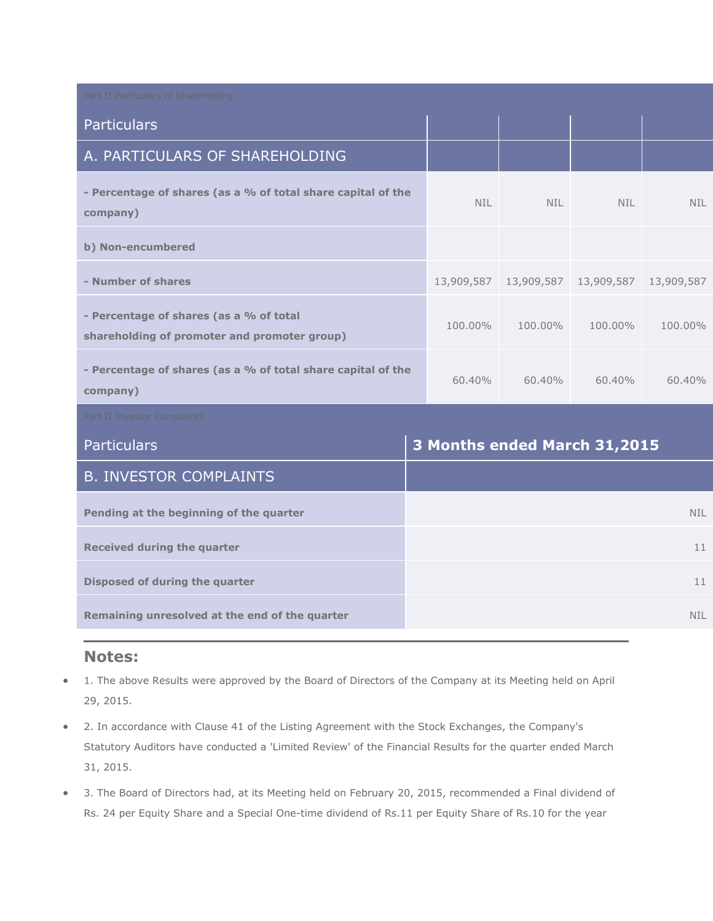| Part II Particulars of Shareholding                                                     |  |                              |            |            |            |  |
|-----------------------------------------------------------------------------------------|--|------------------------------|------------|------------|------------|--|
| <b>Particulars</b>                                                                      |  |                              |            |            |            |  |
| A. PARTICULARS OF SHAREHOLDING                                                          |  |                              |            |            |            |  |
| - Percentage of shares (as a % of total share capital of the<br>company)                |  | NIL.                         | <b>NIL</b> | <b>NIL</b> | <b>NIL</b> |  |
| b) Non-encumbered                                                                       |  |                              |            |            |            |  |
| - Number of shares                                                                      |  |                              |            |            | 13,909,587 |  |
| - Percentage of shares (as a % of total<br>shareholding of promoter and promoter group) |  | 100.00%                      | 100,00%    | 100,00%    | 100.00%    |  |
| - Percentage of shares (as a % of total share capital of the<br>company)                |  | 60.40%                       | $60.40\%$  | $60.40\%$  | 60.40%     |  |
| Part II Investor Complaints                                                             |  |                              |            |            |            |  |
| <b>Particulars</b>                                                                      |  | 3 Months ended March 31,2015 |            |            |            |  |
| <b>B. INVESTOR COMPLAINTS</b>                                                           |  |                              |            |            |            |  |
| Pending at the beginning of the quarter                                                 |  | <b>NIL</b>                   |            |            |            |  |
| <b>Received during the quarter</b>                                                      |  | 11                           |            |            |            |  |
| Disposed of during the quarter                                                          |  | 11                           |            |            |            |  |
| Remaining unresolved at the end of the quarter                                          |  | <b>NIL</b>                   |            |            |            |  |

#### **Notes:**

- 1. The above Results were approved by the Board of Directors of the Company at its Meeting held on April 29, 2015.
- 2. In accordance with Clause 41 of the Listing Agreement with the Stock Exchanges, the Company's Statutory Auditors have conducted a 'Limited Review' of the Financial Results for the quarter ended March 31, 2015.
- 3. The Board of Directors had, at its Meeting held on February 20, 2015, recommended a Final dividend of Rs. 24 per Equity Share and a Special One-time dividend of Rs.11 per Equity Share of Rs.10 for the year